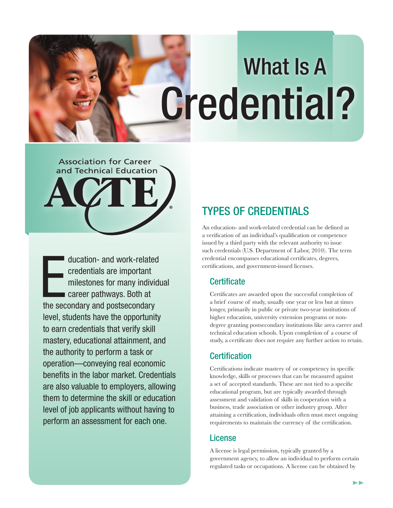# Credential? What Is A

# **Association for Career** and Technical Education ®

ducation- and work-related<br>credentials are important<br>milestones for many individend<br>career pathways. Both at<br>the secondary and postsecondary ducation- and work-related credentials are important milestones for many individual career pathways. Both at level, students have the opportunity to earn credentials that verify skill mastery, educational attainment, and the authority to perform a task or operation—conveying real economic benefits in the labor market. Credentials are also valuable to employers, allowing them to determine the skill or education level of job applicants without having to perform an assessment for each one.

## TYPES OF CREDENTIALS

An education- and work-related credential can be defined as a verification of an individual's qualification or competence issued by a third party with the relevant authority to issue such credentials (U.S. Department of Labor, 2010). The term credential encompasses educational certificates, degrees, certifications, and government-issued licenses.

#### **Certificate**

Certificates are awarded upon the successful completion of a brief course of study, usually one year or less but at times longer, primarily in public or private two-year institutions of higher education, university extension programs or nondegree granting postsecondary institutions like area career and technical education schools. Upon completion of a course of study, a certificate does not require any further action to retain.

#### **Certification**

Certifications indicate mastery of or competency in specific knowledge, skills or processes that can be measured against a set of accepted standards. These are not tied to a specific educational program, but are typically awarded through assessment and validation of skills in cooperation with a business, trade association or other industry group. After attaining a certification, individuals often must meet ongoing requirements to maintain the currency of the certification.

#### License

A license is legal permission, typically granted by a government agency, to allow an individual to perform certain regulated tasks or occupations. A license can be obtained by